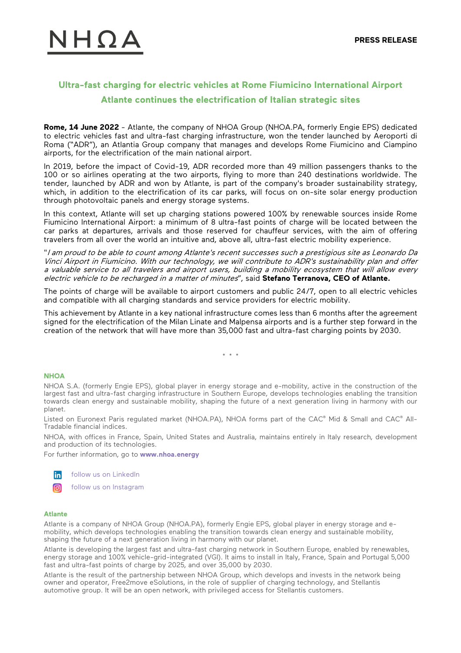# $1H\Omega A$

## **Ultra-fast charging for electric vehicles at Rome Fiumicino International Airport Atlante continues the electrification of Italian strategic sites**

**Rome, 14 June 2022** - Atlante, the company of NHOA Group (NHOA.PA, formerly Engie EPS) dedicated to electric vehicles fast and ultra-fast charging infrastructure, won the tender launched by Aeroporti di Roma ("ADR"), an Atlantia Group company that manages and develops Rome Fiumicino and Ciampino airports, for the electrification of the main national airport.

In 2019, before the impact of Covid-19, ADR recorded more than 49 million passengers thanks to the 100 or so airlines operating at the two airports, flying to more than 240 destinations worldwide. The tender, launched by ADR and won by Atlante, is part of the company's broader sustainability strategy, which, in addition to the electrification of its car parks, will focus on on-site solar energy production through photovoltaic panels and energy storage systems.

In this context, Atlante will set up charging stations powered 100% by renewable sources inside Rome Fiumicino International Airport: a minimum of 8 ultra-fast points of charge will be located between the car parks at departures, arrivals and those reserved for chauffeur services, with the aim of offering travelers from all over the world an intuitive and, above all, ultra-fast electric mobility experience.

"I am proud to be able to count among Atlante's recent successes such a prestigious site as Leonardo Da Vinci Airport in Fiumicino. With our technology, we will contribute to ADR's sustainability plan and offer a valuable service to all travelers and airport users, building a mobility ecosystem that will allow every electric vehicle to be recharged in a matter of minutes", said **Stefano Terranova, CEO of Atlante.**

The points of charge will be available to airport customers and public 24/7, open to all electric vehicles and compatible with all charging standards and service providers for electric mobility.

This achievement by Atlante in a key national infrastructure comes less than 6 months after the agreement signed for the electrification of the Milan Linate and Malpensa airports and is a further step forward in the creation of the network that will have more than 35,000 fast and ultra-fast charging points by 2030.

\* \* \*

#### **NHOA**

NHOA S.A. (formerly Engie EPS), global player in energy storage and e-mobility, active in the construction of the largest fast and ultra-fast charging infrastructure in Southern Europe, develops technologies enabling the transition towards clean energy and sustainable mobility, shaping the future of a next generation living in harmony with our planet.

Listed on Euronext Paris regulated market (NHOA.PA), NHOA forms part of the CAC® Mid & Small and CAC® All-Tradable financial indices.

NHOA, with offices in France, Spain, United States and Australia, maintains entirely in Italy research, development and production of its technologies.

For further information, go to **<www.nhoa.energy>**



[follow us on LinkedIn](https://www.linkedin.com/company/electro-power-systems/)



#### **Atlante**

Atlante is a company of NHOA Group (NHOA.PA), formerly Engie EPS, global player in energy storage and emobility, which develops technologies enabling the transition towards clean energy and sustainable mobility, shaping the future of a next generation living in harmony with our planet.

Atlante is developing the largest fast and ultra-fast charging network in Southern Europe, enabled by renewables, energy storage and 100% vehicle-grid-integrated (VGI). It aims to install in Italy, France, Spain and Portugal 5,000 fast and ultra-fast points of charge by 2025, and over 35,000 by 2030.

Atlante is the result of the partnership between NHOA Group, which develops and invests in the network being owner and operator, Free2move eSolutions, in the role of supplier of charging technology, and Stellantis automotive group. It will be an open network, with privileged access for Stellantis customers.